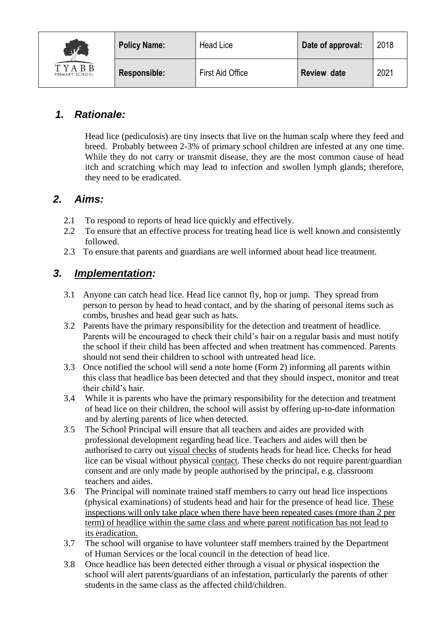

## *1. Rationale:*

Head lice (pediculosis) are tiny insects that live on the human scalp where they feed and breed. Probably between 2-3% of primary school children are infested at any one time. While they do not carry or transmit disease, they are the most common cause of head itch and scratching which may lead to infection and swollen lymph glands; therefore, they need to be eradicated.

### *2. Aims:*

- 2.1 To respond to reports of head lice quickly and effectively.
- 2.2 To ensure that an effective process for treating head lice is well known and consistently followed.
- 2.3 To ensure that parents and guardians are well informed about head lice treatment.

## *3. Implementation:*

- 3.1 Anyone can catch head lice. Head lice cannot fly, hop or jump. They spread from person to person by head to head contact, and by the sharing of personal items such as combs, brushes and head gear such as hats.
- 3.2 Parents have the primary responsibility for the detection and treatment of headlice. Parents will be encouraged to check their child's hair on a regular basis and must notify the school if their child has been affected and when treatment has commenced. Parents should not send their children to school with untreated head lice.
- 3.3 Once notified the school will send a note home (Form 2) informing all parents within this class that headlice has been detected and that they should inspect, monitor and treat their child's hair.
- 3.4 While it is parents who have the primary responsibility for the detection and treatment of head lice on their children, the school will assist by offering up-to-date information and by alerting parents of lice when detected.
- 3.5 The School Principal will ensure that all teachers and aides are provided with professional development regarding head lice. Teachers and aides will then be authorised to carry out visual checks of students heads for head lice. Checks for head lice can be visual without physical [contact.](http://www.education.vic.gov.au/management/governance/spag/health/prevention/headlice.htm) These checks do not require parent/guardian consent and are only made by people authorised by the principal, e.g. classroom teachers and aides.
- 3.6 The Principal will nominate trained staff members to carry out head lice inspections (physical examinations) of students head and hair for the presence of head lice. These inspections will only take place when there have been repeated cases (more than 2 per term) of headlice within the same class and where parent notification has not lead to its eradication.
- 3.7 The school will organise to have volunteer staff members trained by the Department of Human Services or the local council in the detection of head lice.
- 3.8 Once headlice has been detected either through a visual or physical inspection the school will alert parents/guardians of an infestation, particularly the parents of other students in the same class as the affected child/children.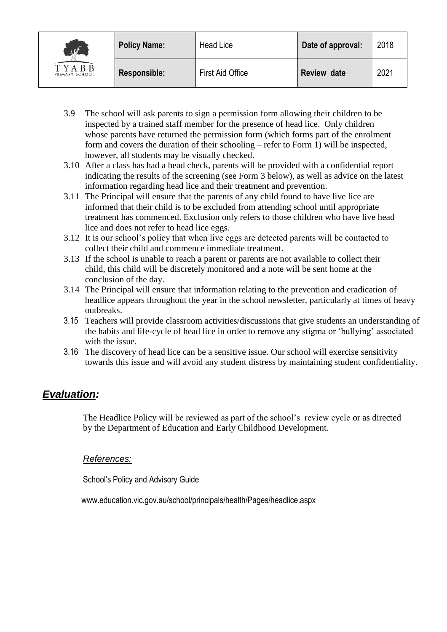| $\frac{1}{2}$<br>TYABB<br>PRIMARY SCHOOL | <b>Policy Name:</b> | <b>Head Lice</b> | Date of approval:  | 2018 |
|------------------------------------------|---------------------|------------------|--------------------|------|
|                                          | <b>Responsible:</b> | First Aid Office | <b>Review date</b> | 2021 |

- 3.9 The school will ask parents to sign a permission form allowing their children to be inspected by a trained staff member for the presence of head lice. Only children whose parents have returned the permission form (which forms part of the enrolment form and covers the duration of their schooling – refer to Form 1) will be inspected, however, all students may be visually checked.
- 3.10 After a class has had a head check, parents will be provided with a confidential report indicating the results of the screening (see Form 3 below), as well as advice on the latest information regarding head lice and their treatment and prevention.
- 3.11 The Principal will ensure that the parents of any child found to have live lice are informed that their child is to be excluded from attending school until appropriate treatment has commenced. Exclusion only refers to those children who have live head lice and does not refer to head lice eggs.
- 3.12 It is our school's policy that when live eggs are detected parents will be contacted to collect their child and commence immediate treatment.
- 3.13 If the school is unable to reach a parent or parents are not available to collect their child, this child will be discretely monitored and a note will be sent home at the conclusion of the day.
- 3.14 The Principal will ensure that information relating to the prevention and eradication of headlice appears throughout the year in the school newsletter, particularly at times of heavy outbreaks.
- 3.15 Teachers will provide classroom activities/discussions that give students an understanding of the habits and life-cycle of head lice in order to remove any stigma or 'bullying' associated with the issue.
- 3.16 The discovery of head lice can be a sensitive issue. Our school will exercise sensitivity towards this issue and will avoid any student distress by maintaining student confidentiality.

### *Evaluation:*

The Headlice Policy will be reviewed as part of the school's review cycle or as directed by the Department of Education and Early Childhood Development.

#### *References:*

School's Policy and Advisory Guide

www.education.vic.gov.au/school/principals/health/Pages/headlice.aspx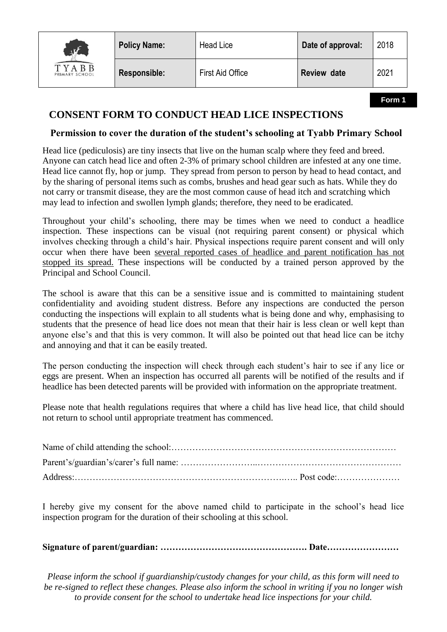

**Policy Name:** | Head Lice | Date of approval: | 2018

#### **CONSENT FORM TO CONDUCT HEAD LICE INSPECTIONS**

#### **Permission to cover the duration of the student's schooling at Tyabb Primary School**

Head lice (pediculosis) are tiny insects that live on the human scalp where they feed and breed. Anyone can catch head lice and often 2-3% of primary school children are infested at any one time. Head lice cannot fly, hop or jump. They spread from person to person by head to head contact, and by the sharing of personal items such as combs, brushes and head gear such as hats. While they do not carry or transmit disease, they are the most common cause of head itch and scratching which may lead to infection and swollen lymph glands; therefore, they need to be eradicated.

Throughout your child's schooling, there may be times when we need to conduct a headlice inspection. These inspections can be visual (not requiring parent consent) or physical which involves checking through a child's hair. Physical inspections require parent consent and will only occur when there have been several reported cases of headlice and parent notification has not stopped its spread. These inspections will be conducted by a trained person approved by the Principal and School Council.

The school is aware that this can be a sensitive issue and is committed to maintaining student confidentiality and avoiding student distress. Before any inspections are conducted the person conducting the inspections will explain to all students what is being done and why, emphasising to students that the presence of head lice does not mean that their hair is less clean or well kept than anyone else's and that this is very common. It will also be pointed out that head lice can be itchy and annoying and that it can be easily treated.

The person conducting the inspection will check through each student's hair to see if any lice or eggs are present. When an inspection has occurred all parents will be notified of the results and if headlice has been detected parents will be provided with information on the appropriate treatment.

Please note that health regulations requires that where a child has live head lice, that child should not return to school until appropriate treatment has commenced.

I hereby give my consent for the above named child to participate in the school's head lice inspection program for the duration of their schooling at this school.

**Signature of parent/guardian: …………………………………………. Date……………………**

*Please inform the school if guardianship/custody changes for your child, as this form will need to be re-signed to reflect these changes. Please also inform the school in writing if you no longer wish to provide consent for the school to undertake head lice inspections for your child.*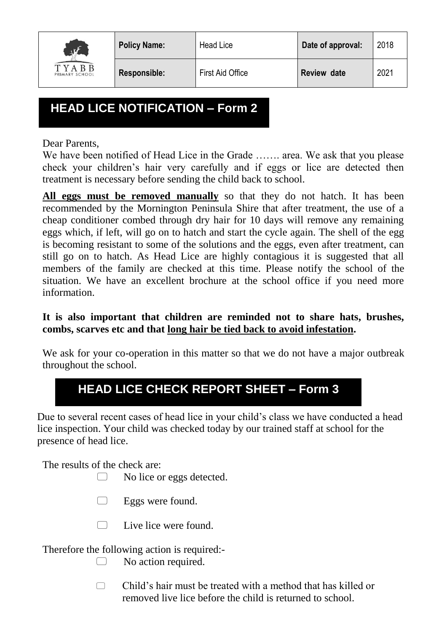

# **HEAD LICE NOTIFICATION – Form 2**

Dear Parents,

We have been notified of Head Lice in the Grade ....... area. We ask that you please check your children's hair very carefully and if eggs or lice are detected then treatment is necessary before sending the child back to school.

**All eggs must be removed manually** so that they do not hatch. It has been recommended by the Mornington Peninsula Shire that after treatment, the use of a cheap conditioner combed through dry hair for 10 days will remove any remaining eggs which, if left, will go on to hatch and start the cycle again. The shell of the egg is becoming resistant to some of the solutions and the eggs, even after treatment, can still go on to hatch. As Head Lice are highly contagious it is suggested that all members of the family are checked at this time. Please notify the school of the situation. We have an excellent brochure at the school office if you need more information.

# **It is also important that children are reminded not to share hats, brushes, combs, scarves etc and that long hair be tied back to avoid infestation.**

We ask for your co-operation in this matter so that we do not have a major outbreak throughout the school.

# **HEAD LICE CHECK REPORT SHEET – Form 3**

Due to several recent cases of head lice in your child's class we have conducted a head lice inspection. Your child was checked today by our trained staff at school for the presence of head lice.

The results of the check are:

 $\Box$  No lice or eggs detected.

- $\Box$  Eggs were found.
- $\Box$  Live lice were found.

Therefore the following action is required:-

- No action required.
- $\Box$  Child's hair must be treated with a method that has killed or removed live lice before the child is returned to school.